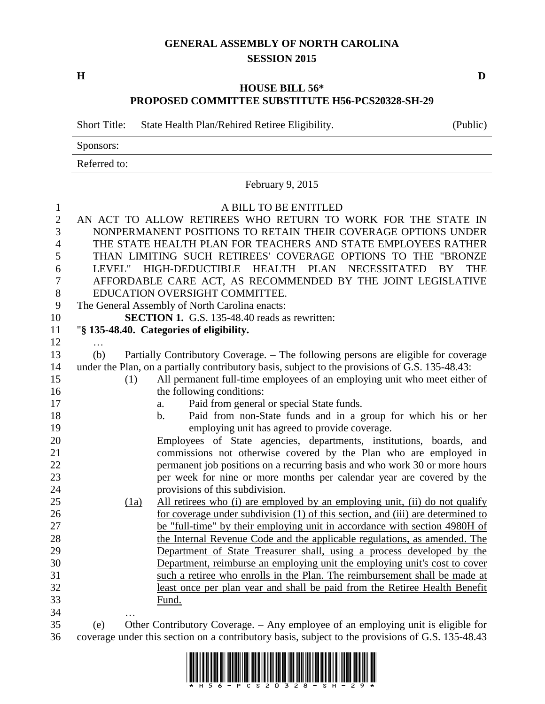## **GENERAL ASSEMBLY OF NORTH CAROLINA SESSION 2015**

**H D**

## **HOUSE BILL 56\* PROPOSED COMMITTEE SUBSTITUTE H56-PCS20328-SH-29**

Short Title: State Health Plan/Rehired Retiree Eligibility. (Public)

Sponsors:

Referred to:

|                |     |      | February 9, 2015                                                                                                                     |
|----------------|-----|------|--------------------------------------------------------------------------------------------------------------------------------------|
| $\mathbf{1}$   |     |      | A BILL TO BE ENTITLED                                                                                                                |
| $\mathbf{2}$   |     |      | AN ACT TO ALLOW RETIREES WHO RETURN TO WORK FOR THE STATE IN                                                                         |
| 3              |     |      | NONPERMANENT POSITIONS TO RETAIN THEIR COVERAGE OPTIONS UNDER                                                                        |
| $\overline{4}$ |     |      | THE STATE HEALTH PLAN FOR TEACHERS AND STATE EMPLOYEES RATHER                                                                        |
| 5              |     |      | THAN LIMITING SUCH RETIREES' COVERAGE OPTIONS TO THE "BRONZE                                                                         |
| 6              |     |      | LEVEL" HIGH-DEDUCTIBLE HEALTH PLAN NECESSITATED<br>BY<br><b>THE</b>                                                                  |
| 7              |     |      | AFFORDABLE CARE ACT, AS RECOMMENDED BY THE JOINT LEGISLATIVE                                                                         |
| 8              |     |      | EDUCATION OVERSIGHT COMMITTEE.                                                                                                       |
| 9              |     |      | The General Assembly of North Carolina enacts:                                                                                       |
| 10             |     |      | SECTION 1. G.S. 135-48.40 reads as rewritten:                                                                                        |
| 11             |     |      | "§ 135-48.40. Categories of eligibility.                                                                                             |
| 12             |     |      |                                                                                                                                      |
| 13             | (b) |      | Partially Contributory Coverage. - The following persons are eligible for coverage                                                   |
| 14             |     |      | under the Plan, on a partially contributory basis, subject to the provisions of G.S. 135-48.43:                                      |
| 15             |     | (1)  | All permanent full-time employees of an employing unit who meet either of                                                            |
| 16             |     |      | the following conditions:                                                                                                            |
| 17             |     |      | Paid from general or special State funds.<br>a.                                                                                      |
| 18             |     |      | Paid from non-State funds and in a group for which his or her<br>$\mathbf b$ .                                                       |
| 19             |     |      | employing unit has agreed to provide coverage.                                                                                       |
| 20             |     |      | Employees of State agencies, departments, institutions, boards, and                                                                  |
| 21             |     |      | commissions not otherwise covered by the Plan who are employed in                                                                    |
| 22             |     |      | permanent job positions on a recurring basis and who work 30 or more hours                                                           |
| 23             |     |      | per week for nine or more months per calendar year are covered by the                                                                |
| 24             |     |      | provisions of this subdivision.                                                                                                      |
| 25             |     | (1a) | All retirees who (i) are employed by an employing unit, (ii) do not qualify                                                          |
| 26             |     |      | for coverage under subdivision (1) of this section, and (iii) are determined to                                                      |
| 27             |     |      | be "full-time" by their employing unit in accordance with section 4980H of                                                           |
| 28             |     |      | the Internal Revenue Code and the applicable regulations, as amended. The                                                            |
| 29             |     |      | Department of State Treasurer shall, using a process developed by the                                                                |
| 30             |     |      | Department, reimburse an employing unit the employing unit's cost to cover                                                           |
| 31             |     |      | such a retiree who enrolls in the Plan. The reimbursement shall be made at                                                           |
| 32<br>33       |     |      | least once per plan year and shall be paid from the Retiree Health Benefit                                                           |
| 34             |     |      | Fund.                                                                                                                                |
| $\sim$ $-$     |     |      | $\mathbf{r}$ , $\mathbf{r}$ , $\mathbf{r}$ , $\mathbf{r}$ , $\mathbf{r}$ , $\mathbf{r}$ , $\mathbf{r}$ , $\mathbf{r}$ , $\mathbf{r}$ |

 (e) Other Contributory Coverage. – Any employee of an employing unit is eligible for coverage under this section on a contributory basis, subject to the provisions of G.S. 135-48.43